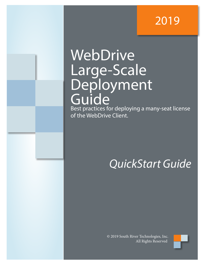## 2019

# WebDrive Large-Scale Deployment Guide

Best practices for deploying a many-seat license of the WebDrive Client.

## *QuickStart Guide*

© 2019 South River Technologies, Inc. All Rights Reserved

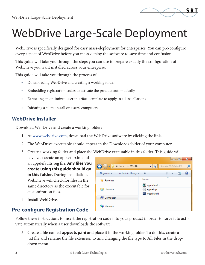

# WebDrive Large-Scale Deployment

WebDrive is specifically designed for easy mass-deployment for enterprises. You can pre-configure every aspect of WebDrive before you mass-deploy the software to save time and confusion.

This guide will take you through the steps you can use to prepare exactly the configuration of WebDrive you want installed across your enterprise.

This guide will take you through the process of:

- **•** Downloading WebDrive and creating a working folder
- **•** Embedding registration codes to activate the product automatically
- **•** Exporting an optimized user interface template to apply to all installations
- **•** Initiating a silent install on users' computers

#### **WebDrive Installer**

Download WebDrive and create a working folder:

- 1. At www.webdrive.com, download the WebDrive software by clicking the link.
- 2. The WebDrive executable should appear in the Downloads folder of your computer.
- 3. Create a working folder and place the WebDrive executable in this folder. This guide will

have you create an appsetup.ini and an appdefaults.reg file. **Any files you create using this guide should go in this folder.** During installation, WebDrive will check for files in the same directory as the executable for customization files.

4. Install WebDrive.

### **Pre-configure Registration Code**

l die L  $\mathbf{x}$ Search WebDriveLSI  $\bigodot$ S << Loca... ▶ WebDri...  $\mathbf{v}$   $\mathbf{t}$ Q Organize v Include in library 睚 ▼  $\Box$ 0 XX Name **X** Favorites a) appdefaults **Exp** Libraries appsetup webdrive64 Computer **Gu** Network

Follow these instructions to insert the registration code into your product in order to force it to activate automatically when a user downloads the software:

5. Create a file named **appsetup.ini** and place it in the working folder. To do this, create a .txt file and rename the file extension to .ini, changing the file type to All Files in the dropdown menu.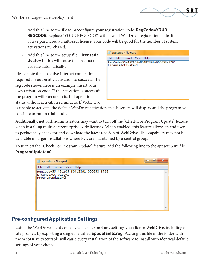- 6. Add this line to the file to preconfigure your registration code: **RegCode=YOUR REGCODE**. Replace "YOUR REGCODE" with a valid WebDrive registration code. If you've purchased a multi-seat license, your code will be good for the number of system activations purchased.
- 7. Add this line to the setup file: **LicenseActivate=1**. This will cause the product to activate automatically.

Please note that an active Internet connection is required for automatic activation to succeed. The reg code shown here is an example; insert your own activation code. If the activation is successful, the program will execute in its full operational status without activation reminders. If WebDrive

| appsetup - Notepad                                          |
|-------------------------------------------------------------|
| File Edit Format View<br>Help                               |
| RegCode=55-45CZ05-804E2391-000653-8765<br>LicenseActivate=1 |

S R 1

is unable to activate, the default WebDrive activation splash screen will display and the program will continue to run in trial mode.

Additionally, network administrators may want to turn off the "Check For Program Update" feature when installing multi-seat/enterprise wide licenses. When enabled, this feature allows an end user to periodically check for and download the latest revision of WebDrive. This capability may not be desirable in larger installations where PCs are maintained by a central group.

To turn off the "Check For Program Update" feature, add the following line to the appsetup.ini file: **ProgramUpdate=0**



#### **Pre-configured Application Settings**

Using the WebDrive client console, you can export any settings you alter in WebDrive, including all site profiles, by exporting a single file called **appdefaults.reg**. Packing this file in the folder with the WebDrive executable will cause every installation of the software to install with identical default settings of your choice.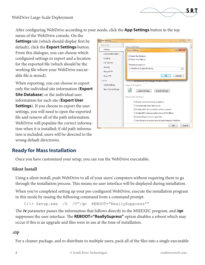

After configuring WebDrive according to your needs, click the **App Settings** button in the top

menu of the WebDrive console. On the **Settings** tab (which should display first by default), click the **Export Settings** button. From this dialogue, you can choose which configured settings to export and a location for the exported file (which should be the working file where your WebDrive executable file is stored).

When exporting, you can choose to export only the individual site information (**Export Site Database**) or the individual user information for each site (**Export User Settings**). If you choose to export the user settings, you will need to open the exported file and remove all of the path information. WebDrive will populate the correct information when it is installed; if old path information is included, users will be directed to the wrong default directories.

| <b>Program Settings</b>                                                                       | $\Sigma$<br>P                                                                                                                                                                                                                                |
|-----------------------------------------------------------------------------------------------|----------------------------------------------------------------------------------------------------------------------------------------------------------------------------------------------------------------------------------------------|
| General                                                                                       | <b>Basic Settings</b>                                                                                                                                                                                                                        |
| Settings                                                                                      | $-8$<br>器<br><b>Export Settings</b>                                                                                                                                                                                                          |
| License Information<br>Logging<br><b>File Transfer</b><br>Security<br>Proxy HTTP<br>Proxy FTP | <b><i>V</i></b> Export Site Database<br>Export User Settings<br>Filename to export to:<br>C:\WebDriveLSI\appdefaults.reg<br>$\mathbf{m}$<br><b>OK</b><br>Cancel                                                                              |
| Cache<br><b>Cache Settings</b>                                                                | Remember Site Manager Window Position<br>Import & Export                                                                                                                                                                                     |
| <b>Basic Cache Settings</b>                                                                   | <b>Export Settings</b><br><b>Import Settings</b><br><b>Advanced Settings</b><br>Display custom drive icon in Explorer                                                                                                                        |
|                                                                                               | Automatically select drive to use<br>Disable shell column handlers while connected<br>Disable DFS (improves performance of MS Office)<br>V Enable delayed close for open files<br>Use Windows to restore drives at login instead of WebDrive |
|                                                                                               | ΟК<br>Cancel                                                                                                                                                                                                                                 |

#### **Ready for Mass Installation**

Once you have customized your setup, you can run the WebDrive executable.

#### **Silent Install**

Using a silent install, push WebDrive to all of your users' computers without requiring them to go through the installation process. This means no user interface will be displayed during installation.

When you've completed setting up your pre-configured WebDrive, execute the installation program in this mode by issuing the following command from a command prompt:

C:\> Setup.exe /S /V"/qn REBOOT="ReallySuppress""

The **/v** parameter passes the information that follows directly to the MSIEXEC program, and **/qn** suppresses the user interface. The **REBOOT="ReallySupress"** option disables a reboot which may occur if this is an upgrade and files were in use at the time of installation.

#### **.zip**

For a cleaner package, and to distribute to multiple users, pack all of the files into a single executable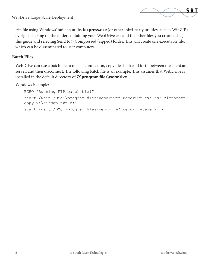

WebDrive Large-Scale Deployment

.zip file using Windows' built-in utility **iexpress.exe** (or other third-party utilities such as WinZIP) by right-clicking on the folder containing your WebDrive.exe and the other files you create using this guide and selecting Send to > Compressed (zipped) folder. This will create one executable file, which can be disseminated to user computers.

#### **Batch Files**

WebDrive can use a batch file to open a connection, copy files back and forth between the client and server, and then disconnect. The following batch file is an example. This assumes that WebDrive is installed in the default directory of **C:\program files\webdrive**.

Windows Example:

```
ECHO "Running FTP batch file!"
start /wait /D"c:\program files\webdrive" webdrive.exe /s:"Microsoft"
copy x:\dirmap.txt c:\
start /wait /D"c:\program files\webdrive" webdrive.exe X: /d
```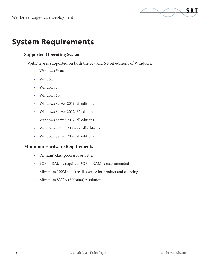

## **System Requirements**

#### **Supported Operating Systems**

WebDrive is supported on both the 32- and 64-bit editions of Windows.

- **•** Windows Vista
- **•** Windows 7
- **•** Windows 8
- **•** Windows 10
- **•** Windows Server 2016, all editions
- **•** Windows Server 2012-R2 editions
- **•** Windows Server 2012, all editions
- **•** Windows Server 2008-R2, all editions
- **•** Windows Server 2008, all editions

#### **Minimum Hardware Requirements**

- **•** Pentium® class processor or better
- **•** 4GB of RAM is required; 8GB of RAM is recommended
- **•** Minimum 100MB of free disk space for product and cacheing
- **•** Minimum SVGA (800x600) resolution